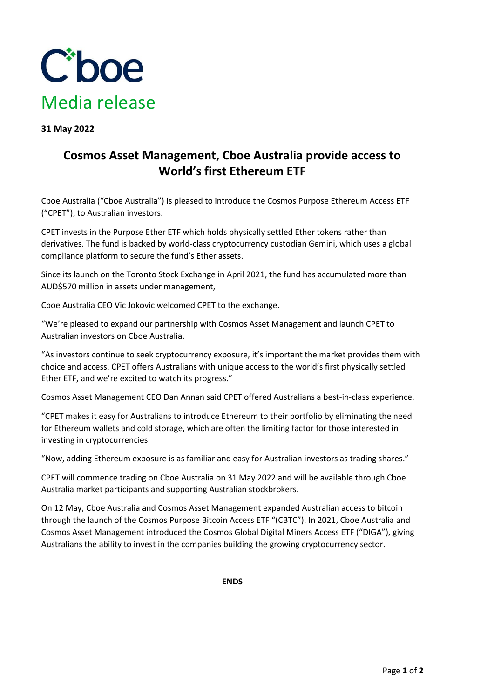

**31 May 2022**

## **Cosmos Asset Management, Cboe Australia provide access to World's first Ethereum ETF**

Cboe Australia ("Cboe Australia") is pleased to introduce the Cosmos Purpose Ethereum Access ETF ("CPET"), to Australian investors.

CPET invests in the Purpose Ether ETF which holds physically settled Ether tokens rather than derivatives. The fund is backed by world-class cryptocurrency custodian Gemini, which uses a global compliance platform to secure the fund's Ether assets.

Since its launch on the Toronto Stock Exchange in April 2021, the fund has accumulated more than AUD\$570 million in assets under management,

Cboe Australia CEO Vic Jokovic welcomed CPET to the exchange.

"We're pleased to expand our partnership with Cosmos Asset Management and launch CPET to Australian investors on Cboe Australia.

"As investors continue to seek cryptocurrency exposure, it's important the market provides them with choice and access. CPET offers Australians with unique access to the world's first physically settled Ether ETF, and we're excited to watch its progress."

Cosmos Asset Management CEO Dan Annan said CPET offered Australians a best-in-class experience.

"CPET makes it easy for Australians to introduce Ethereum to their portfolio by eliminating the need for Ethereum wallets and cold storage, which are often the limiting factor for those interested in investing in cryptocurrencies.

"Now, adding Ethereum exposure is as familiar and easy for Australian investors as trading shares."

CPET will commence trading on Cboe Australia on 31 May 2022 and will be available through Cboe Australia market participants and supporting Australian stockbrokers.

On 12 May, Cboe Australia and Cosmos Asset Management expanded Australian access to bitcoin through the launch of the Cosmos Purpose Bitcoin Access ETF "(CBTC"). In 2021, Cboe Australia and Cosmos Asset Management introduced the Cosmos Global Digital Miners Access ETF ("DIGA"), giving Australians the ability to invest in the companies building the growing cryptocurrency sector.

**ENDS**